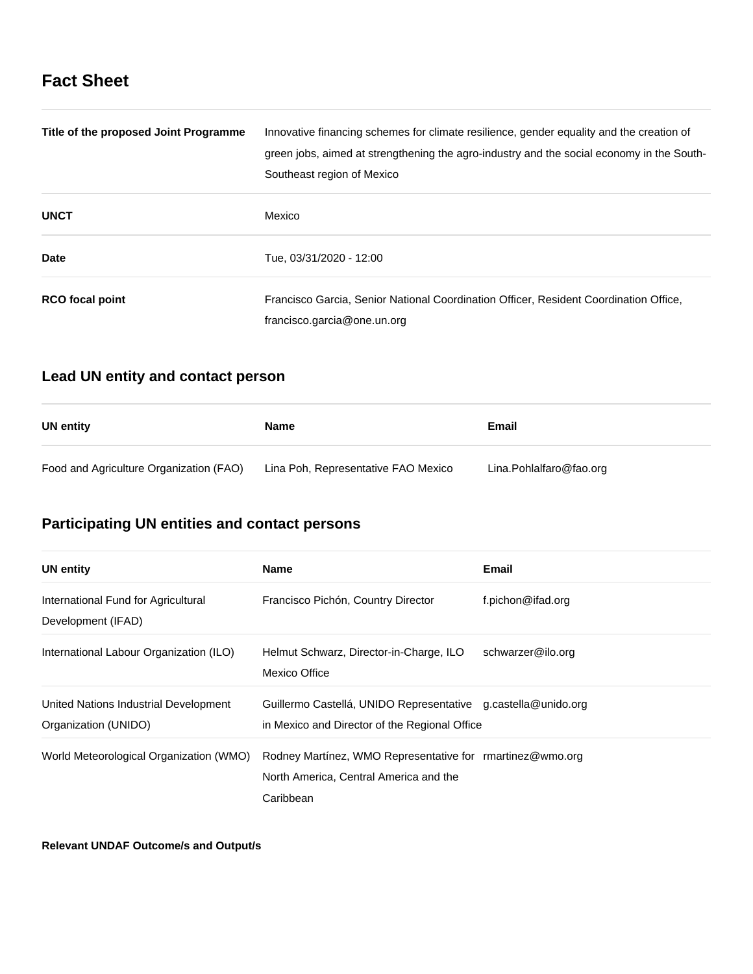# **Fact Sheet**

| Title of the proposed Joint Programme | Innovative financing schemes for climate resilience, gender equality and the creation of<br>green jobs, aimed at strengthening the agro-industry and the social economy in the South-<br>Southeast region of Mexico |
|---------------------------------------|---------------------------------------------------------------------------------------------------------------------------------------------------------------------------------------------------------------------|
| <b>UNCT</b>                           | Mexico                                                                                                                                                                                                              |
| Date                                  | Tue, 03/31/2020 - 12:00                                                                                                                                                                                             |
| <b>RCO</b> focal point                | Francisco Garcia, Senior National Coordination Officer, Resident Coordination Office,<br>francisco.garcia@one.un.org                                                                                                |

# **Lead UN entity and contact person**

| UN entity                               | Name                                | Email                   |
|-----------------------------------------|-------------------------------------|-------------------------|
| Food and Agriculture Organization (FAO) | Lina Poh, Representative FAO Mexico | Lina.Pohlalfaro@fao.org |

# **Participating UN entities and contact persons**

| <b>UN</b> entity                                              | <b>Name</b>                                                                                                      | Email             |
|---------------------------------------------------------------|------------------------------------------------------------------------------------------------------------------|-------------------|
| International Fund for Agricultural<br>Development (IFAD)     | Francisco Pichón, Country Director                                                                               | f.pichon@ifad.org |
| International Labour Organization (ILO)                       | Helmut Schwarz, Director-in-Charge, ILO<br>Mexico Office                                                         | schwarzer@ilo.org |
| United Nations Industrial Development<br>Organization (UNIDO) | Guillermo Castellá, UNIDO Representative g.castella@unido.org<br>in Mexico and Director of the Regional Office   |                   |
| World Meteorological Organization (WMO)                       | Rodney Martínez, WMO Representative for rmartinez@wmo.org<br>North America, Central America and the<br>Caribbean |                   |

**Relevant UNDAF Outcome/s and Output/s**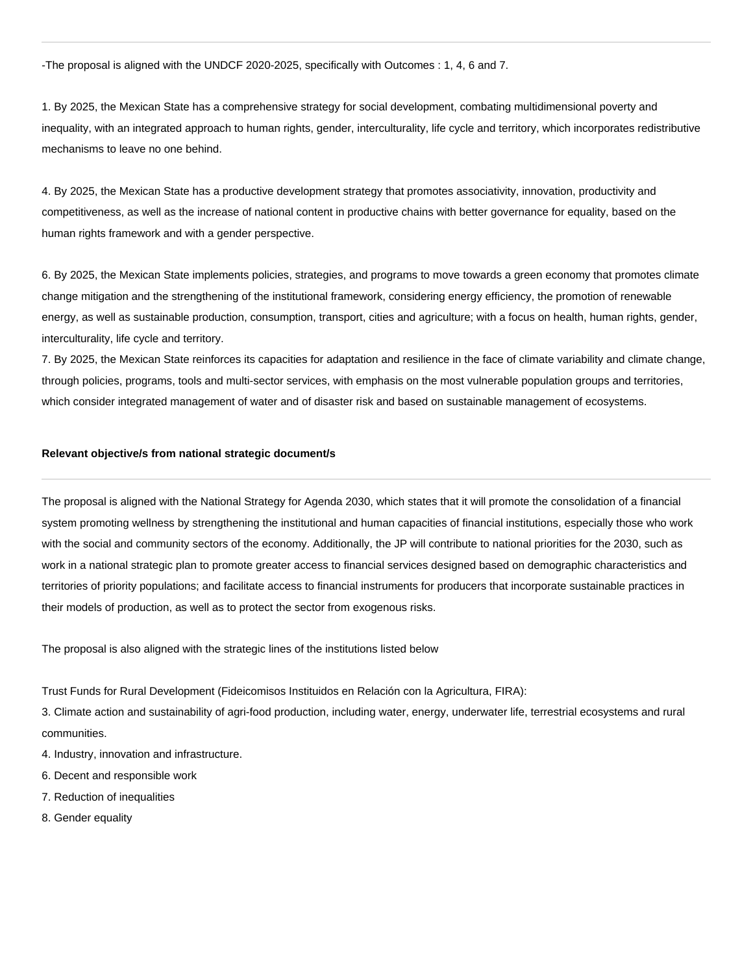-The proposal is aligned with the UNDCF 2020-2025, specifically with Outcomes : 1, 4, 6 and 7.

1. By 2025, the Mexican State has a comprehensive strategy for social development, combating multidimensional poverty and inequality, with an integrated approach to human rights, gender, interculturality, life cycle and territory, which incorporates redistributive mechanisms to leave no one behind.

4. By 2025, the Mexican State has a productive development strategy that promotes associativity, innovation, productivity and competitiveness, as well as the increase of national content in productive chains with better governance for equality, based on the human rights framework and with a gender perspective.

6. By 2025, the Mexican State implements policies, strategies, and programs to move towards a green economy that promotes climate change mitigation and the strengthening of the institutional framework, considering energy efficiency, the promotion of renewable energy, as well as sustainable production, consumption, transport, cities and agriculture; with a focus on health, human rights, gender, interculturality, life cycle and territory.

7. By 2025, the Mexican State reinforces its capacities for adaptation and resilience in the face of climate variability and climate change, through policies, programs, tools and multi-sector services, with emphasis on the most vulnerable population groups and territories, which consider integrated management of water and of disaster risk and based on sustainable management of ecosystems.

### **Relevant objective/s from national strategic document/s**

The proposal is aligned with the National Strategy for Agenda 2030, which states that it will promote the consolidation of a financial system promoting wellness by strengthening the institutional and human capacities of financial institutions, especially those who work with the social and community sectors of the economy. Additionally, the JP will contribute to national priorities for the 2030, such as work in a national strategic plan to promote greater access to financial services designed based on demographic characteristics and territories of priority populations; and facilitate access to financial instruments for producers that incorporate sustainable practices in their models of production, as well as to protect the sector from exogenous risks.

The proposal is also aligned with the strategic lines of the institutions listed below

Trust Funds for Rural Development (Fideicomisos Instituidos en Relación con la Agricultura, FIRA):

3. Climate action and sustainability of agri-food production, including water, energy, underwater life, terrestrial ecosystems and rural communities.

- 4. Industry, innovation and infrastructure.
- 6. Decent and responsible work
- 7. Reduction of inequalities
- 8. Gender equality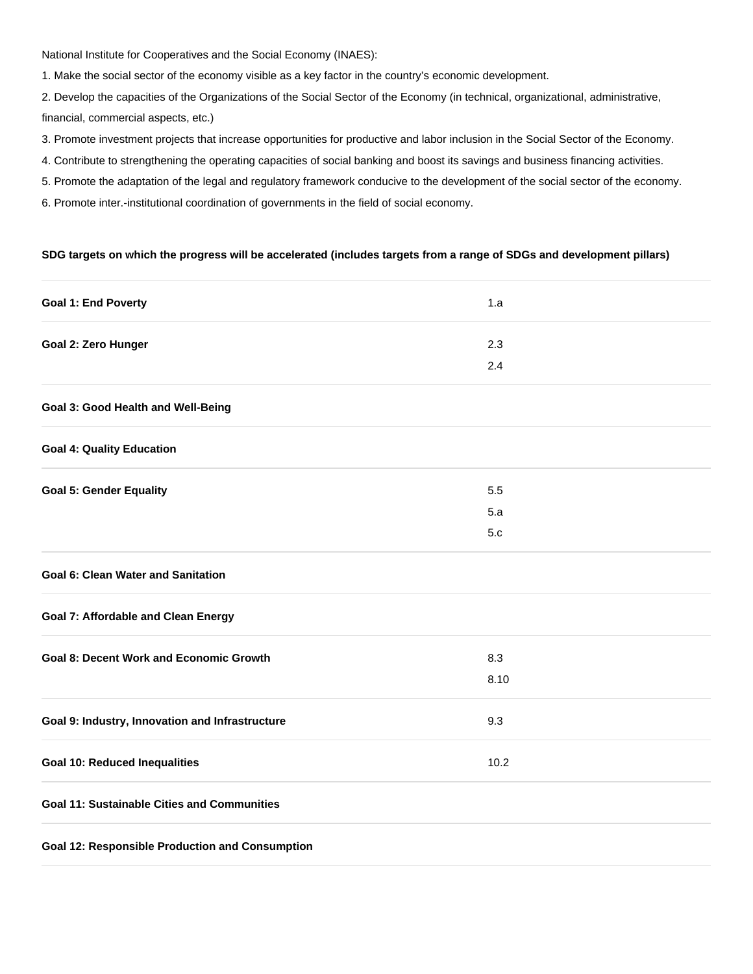National Institute for Cooperatives and the Social Economy (INAES):

1. Make the social sector of the economy visible as a key factor in the country's economic development.

2. Develop the capacities of the Organizations of the Social Sector of the Economy (in technical, organizational, administrative, financial, commercial aspects, etc.)

- 3. Promote investment projects that increase opportunities for productive and labor inclusion in the Social Sector of the Economy.
- 4. Contribute to strengthening the operating capacities of social banking and boost its savings and business financing activities.
- 5. Promote the adaptation of the legal and regulatory framework conducive to the development of the social sector of the economy.
- 6. Promote inter.-institutional coordination of governments in the field of social economy.

### **SDG targets on which the progress will be accelerated (includes targets from a range of SDGs and development pillars)**

| <b>Goal 1: End Poverty</b>                             | 1.a  |  |
|--------------------------------------------------------|------|--|
| Goal 2: Zero Hunger                                    | 2.3  |  |
|                                                        | 2.4  |  |
| Goal 3: Good Health and Well-Being                     |      |  |
| <b>Goal 4: Quality Education</b>                       |      |  |
| <b>Goal 5: Gender Equality</b>                         | 5.5  |  |
|                                                        | 5.a  |  |
|                                                        | 5.c  |  |
| <b>Goal 6: Clean Water and Sanitation</b>              |      |  |
| <b>Goal 7: Affordable and Clean Energy</b>             |      |  |
| <b>Goal 8: Decent Work and Economic Growth</b>         | 8.3  |  |
|                                                        | 8.10 |  |
| Goal 9: Industry, Innovation and Infrastructure        | 9.3  |  |
| <b>Goal 10: Reduced Inequalities</b>                   | 10.2 |  |
| <b>Goal 11: Sustainable Cities and Communities</b>     |      |  |
| <b>Goal 12: Responsible Production and Consumption</b> |      |  |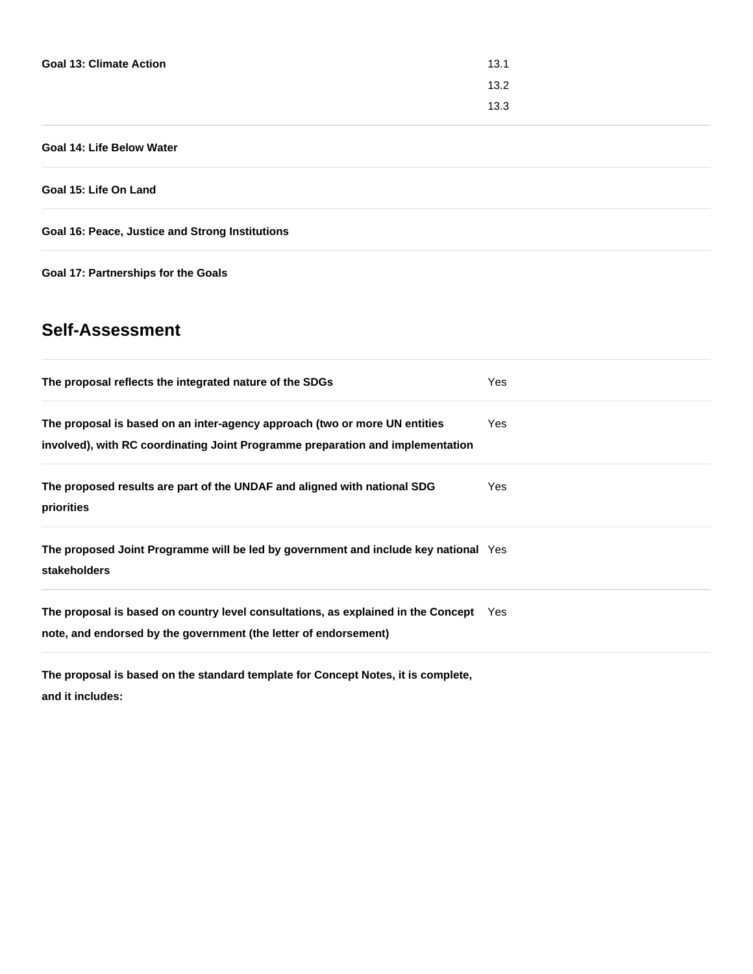| <b>Goal 13: Climate Action</b> | 13.1 |
|--------------------------------|------|
|                                | 13.2 |
|                                | 13.3 |

## **Goal 14: Life Below Water**

**Goal 15: Life On Land**

**Goal 16: Peace, Justice and Strong Institutions**

**Goal 17: Partnerships for the Goals**

# **Self-Assessment**

| The proposal reflects the integrated nature of the SDGs                                                                                                      | Yes  |
|--------------------------------------------------------------------------------------------------------------------------------------------------------------|------|
| The proposal is based on an inter-agency approach (two or more UN entities<br>involved), with RC coordinating Joint Programme preparation and implementation | Yes. |
| The proposed results are part of the UNDAF and aligned with national SDG<br>priorities                                                                       | Yes. |
| The proposed Joint Programme will be led by government and include key national Yes<br>stakeholders                                                          |      |
| The proposal is based on country level consultations, as explained in the Concept Yes<br>note, and endorsed by the government (the letter of endorsement)    |      |

**The proposal is based on the standard template for Concept Notes, it is complete, and it includes:**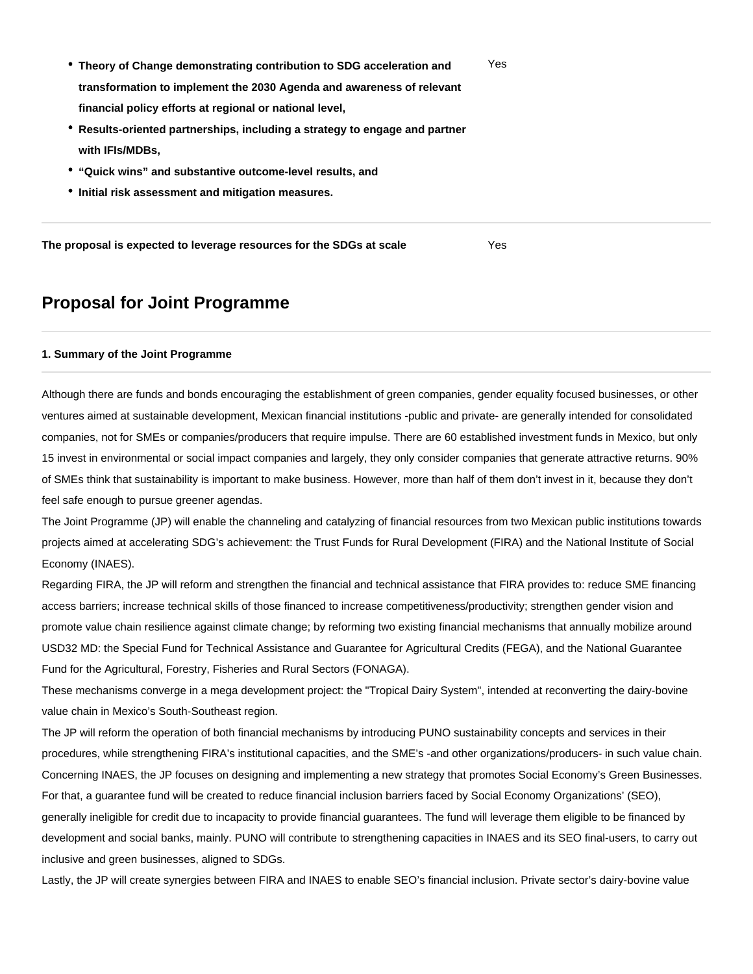- **Theory of Change demonstrating contribution to SDG acceleration and transformation to implement the 2030 Agenda and awareness of relevant financial policy efforts at regional or national level,** Yes
- **Results-oriented partnerships, including a strategy to engage and partner with IFIs/MDBs,**
- **"Quick wins" and substantive outcome-level results, and**
- **Initial risk assessment and mitigation measures.**

**The proposal is expected to leverage resources for the SDGs at scale** Yes

# **Proposal for Joint Programme**

#### **1. Summary of the Joint Programme**

Although there are funds and bonds encouraging the establishment of green companies, gender equality focused businesses, or other ventures aimed at sustainable development, Mexican financial institutions -public and private- are generally intended for consolidated companies, not for SMEs or companies/producers that require impulse. There are 60 established investment funds in Mexico, but only 15 invest in environmental or social impact companies and largely, they only consider companies that generate attractive returns. 90% of SMEs think that sustainability is important to make business. However, more than half of them don't invest in it, because they don't feel safe enough to pursue greener agendas.

The Joint Programme (JP) will enable the channeling and catalyzing of financial resources from two Mexican public institutions towards projects aimed at accelerating SDG's achievement: the Trust Funds for Rural Development (FIRA) and the National Institute of Social Economy (INAES).

Regarding FIRA, the JP will reform and strengthen the financial and technical assistance that FIRA provides to: reduce SME financing access barriers; increase technical skills of those financed to increase competitiveness/productivity; strengthen gender vision and promote value chain resilience against climate change; by reforming two existing financial mechanisms that annually mobilize around USD32 MD: the Special Fund for Technical Assistance and Guarantee for Agricultural Credits (FEGA), and the National Guarantee Fund for the Agricultural, Forestry, Fisheries and Rural Sectors (FONAGA).

These mechanisms converge in a mega development project: the "Tropical Dairy System", intended at reconverting the dairy-bovine value chain in Mexico's South-Southeast region.

The JP will reform the operation of both financial mechanisms by introducing PUNO sustainability concepts and services in their procedures, while strengthening FIRA's institutional capacities, and the SME's -and other organizations/producers- in such value chain. Concerning INAES, the JP focuses on designing and implementing a new strategy that promotes Social Economy's Green Businesses. For that, a guarantee fund will be created to reduce financial inclusion barriers faced by Social Economy Organizations' (SEO), generally ineligible for credit due to incapacity to provide financial guarantees. The fund will leverage them eligible to be financed by development and social banks, mainly. PUNO will contribute to strengthening capacities in INAES and its SEO final-users, to carry out inclusive and green businesses, aligned to SDGs.

Lastly, the JP will create synergies between FIRA and INAES to enable SEO's financial inclusion. Private sector's dairy-bovine value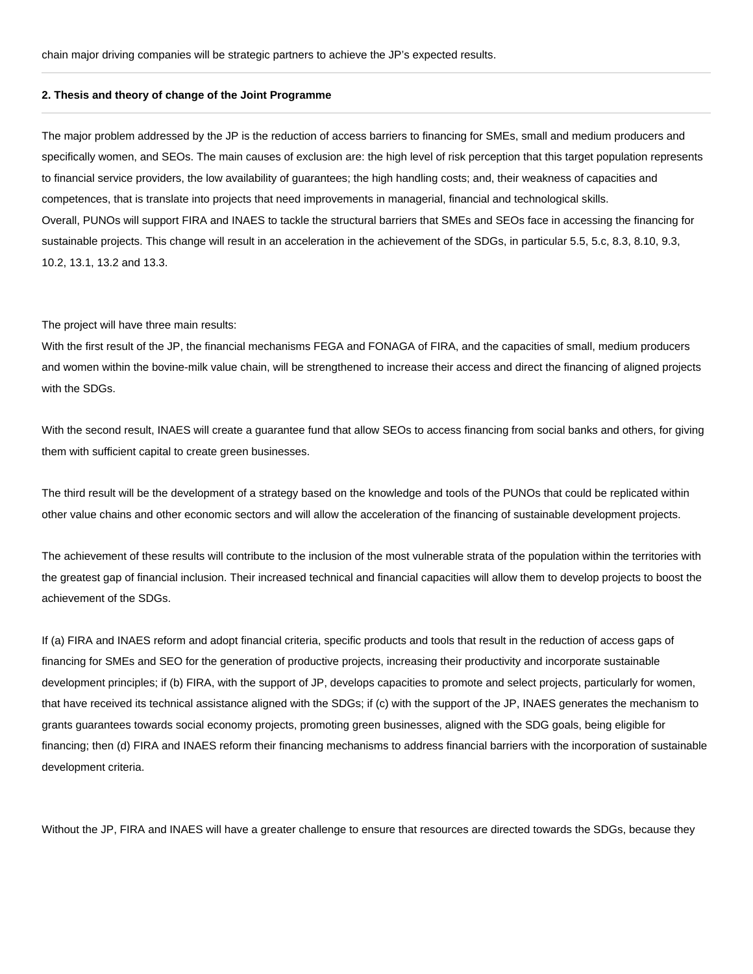#### **2. Thesis and theory of change of the Joint Programme**

The major problem addressed by the JP is the reduction of access barriers to financing for SMEs, small and medium producers and specifically women, and SEOs. The main causes of exclusion are: the high level of risk perception that this target population represents to financial service providers, the low availability of guarantees; the high handling costs; and, their weakness of capacities and competences, that is translate into projects that need improvements in managerial, financial and technological skills. Overall, PUNOs will support FIRA and INAES to tackle the structural barriers that SMEs and SEOs face in accessing the financing for sustainable projects. This change will result in an acceleration in the achievement of the SDGs, in particular 5.5, 5.c, 8.3, 8.10, 9.3, 10.2, 13.1, 13.2 and 13.3.

#### The project will have three main results:

With the first result of the JP, the financial mechanisms FEGA and FONAGA of FIRA, and the capacities of small, medium producers and women within the bovine-milk value chain, will be strengthened to increase their access and direct the financing of aligned projects with the SDGs.

With the second result, INAES will create a guarantee fund that allow SEOs to access financing from social banks and others, for giving them with sufficient capital to create green businesses.

The third result will be the development of a strategy based on the knowledge and tools of the PUNOs that could be replicated within other value chains and other economic sectors and will allow the acceleration of the financing of sustainable development projects.

The achievement of these results will contribute to the inclusion of the most vulnerable strata of the population within the territories with the greatest gap of financial inclusion. Their increased technical and financial capacities will allow them to develop projects to boost the achievement of the SDGs.

If (a) FIRA and INAES reform and adopt financial criteria, specific products and tools that result in the reduction of access gaps of financing for SMEs and SEO for the generation of productive projects, increasing their productivity and incorporate sustainable development principles; if (b) FIRA, with the support of JP, develops capacities to promote and select projects, particularly for women, that have received its technical assistance aligned with the SDGs; if (c) with the support of the JP, INAES generates the mechanism to grants guarantees towards social economy projects, promoting green businesses, aligned with the SDG goals, being eligible for financing; then (d) FIRA and INAES reform their financing mechanisms to address financial barriers with the incorporation of sustainable development criteria.

Without the JP, FIRA and INAES will have a greater challenge to ensure that resources are directed towards the SDGs, because they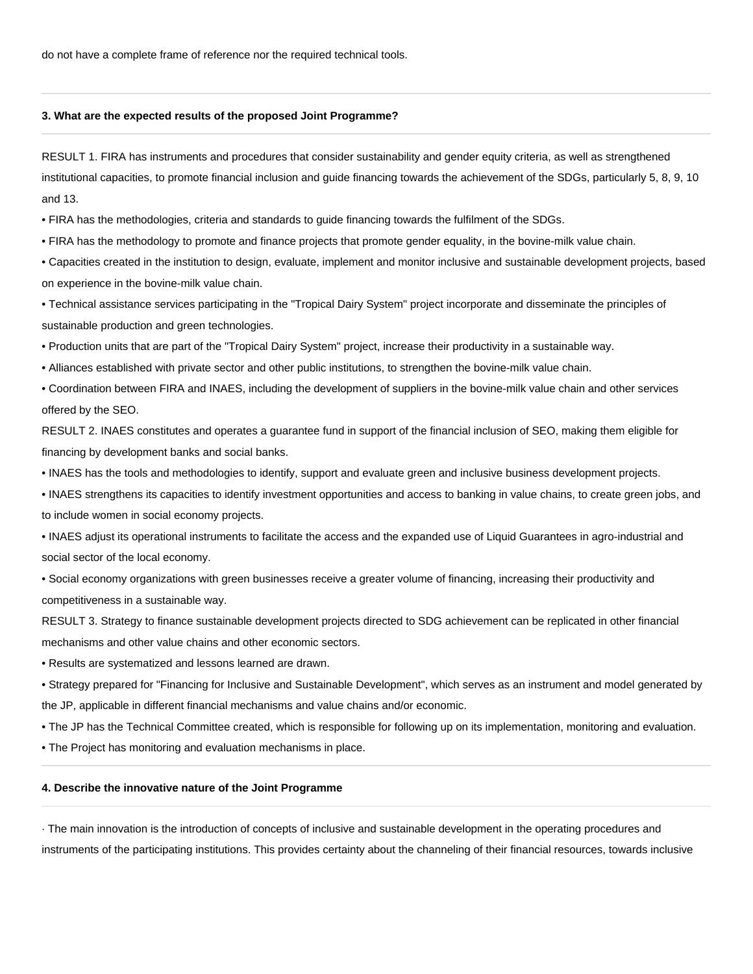do not have a complete frame of reference nor the required technical tools.

#### **3. What are the expected results of the proposed Joint Programme?**

RESULT 1. FIRA has instruments and procedures that consider sustainability and gender equity criteria, as well as strengthened institutional capacities, to promote financial inclusion and guide financing towards the achievement of the SDGs, particularly 5, 8, 9, 10 and 13.

• FIRA has the methodologies, criteria and standards to guide financing towards the fulfilment of the SDGs.

• FIRA has the methodology to promote and finance projects that promote gender equality, in the bovine-milk value chain.

• Capacities created in the institution to design, evaluate, implement and monitor inclusive and sustainable development projects, based on experience in the bovine-milk value chain.

• Technical assistance services participating in the "Tropical Dairy System" project incorporate and disseminate the principles of sustainable production and green technologies.

• Production units that are part of the "Tropical Dairy System" project, increase their productivity in a sustainable way.

• Alliances established with private sector and other public institutions, to strengthen the bovine-milk value chain.

• Coordination between FIRA and INAES, including the development of suppliers in the bovine-milk value chain and other services offered by the SEO.

RESULT 2. INAES constitutes and operates a guarantee fund in support of the financial inclusion of SEO, making them eligible for financing by development banks and social banks.

• INAES has the tools and methodologies to identify, support and evaluate green and inclusive business development projects.

• INAES strengthens its capacities to identify investment opportunities and access to banking in value chains, to create green jobs, and to include women in social economy projects.

• INAES adjust its operational instruments to facilitate the access and the expanded use of Liquid Guarantees in agro-industrial and social sector of the local economy.

• Social economy organizations with green businesses receive a greater volume of financing, increasing their productivity and competitiveness in a sustainable way.

RESULT 3. Strategy to finance sustainable development projects directed to SDG achievement can be replicated in other financial mechanisms and other value chains and other economic sectors.

• Results are systematized and lessons learned are drawn.

• Strategy prepared for "Financing for Inclusive and Sustainable Development", which serves as an instrument and model generated by the JP, applicable in different financial mechanisms and value chains and/or economic.

• The JP has the Technical Committee created, which is responsible for following up on its implementation, monitoring and evaluation.

• The Project has monitoring and evaluation mechanisms in place.

#### **4. Describe the innovative nature of the Joint Programme**

· The main innovation is the introduction of concepts of inclusive and sustainable development in the operating procedures and instruments of the participating institutions. This provides certainty about the channeling of their financial resources, towards inclusive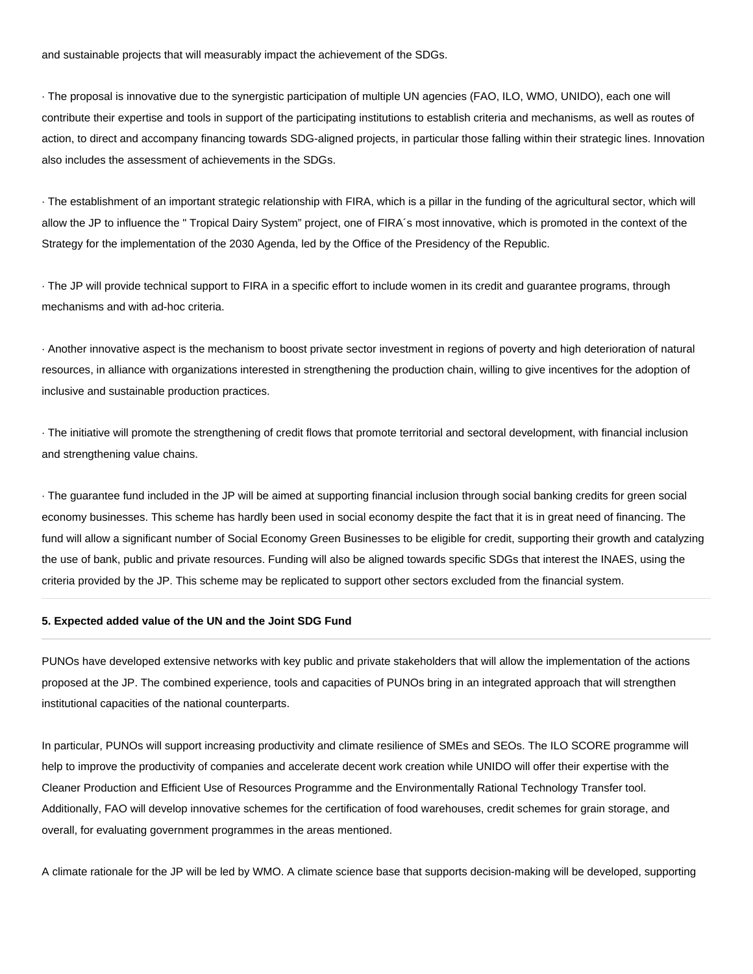and sustainable projects that will measurably impact the achievement of the SDGs.

· The proposal is innovative due to the synergistic participation of multiple UN agencies (FAO, ILO, WMO, UNIDO), each one will contribute their expertise and tools in support of the participating institutions to establish criteria and mechanisms, as well as routes of action, to direct and accompany financing towards SDG-aligned projects, in particular those falling within their strategic lines. Innovation also includes the assessment of achievements in the SDGs.

· The establishment of an important strategic relationship with FIRA, which is a pillar in the funding of the agricultural sector, which will allow the JP to influence the " Tropical Dairy System" project, one of FIRA´s most innovative, which is promoted in the context of the Strategy for the implementation of the 2030 Agenda, led by the Office of the Presidency of the Republic.

· The JP will provide technical support to FIRA in a specific effort to include women in its credit and guarantee programs, through mechanisms and with ad-hoc criteria.

· Another innovative aspect is the mechanism to boost private sector investment in regions of poverty and high deterioration of natural resources, in alliance with organizations interested in strengthening the production chain, willing to give incentives for the adoption of inclusive and sustainable production practices.

· The initiative will promote the strengthening of credit flows that promote territorial and sectoral development, with financial inclusion and strengthening value chains.

· The guarantee fund included in the JP will be aimed at supporting financial inclusion through social banking credits for green social economy businesses. This scheme has hardly been used in social economy despite the fact that it is in great need of financing. The fund will allow a significant number of Social Economy Green Businesses to be eligible for credit, supporting their growth and catalyzing the use of bank, public and private resources. Funding will also be aligned towards specific SDGs that interest the INAES, using the criteria provided by the JP. This scheme may be replicated to support other sectors excluded from the financial system.

### **5. Expected added value of the UN and the Joint SDG Fund**

PUNOs have developed extensive networks with key public and private stakeholders that will allow the implementation of the actions proposed at the JP. The combined experience, tools and capacities of PUNOs bring in an integrated approach that will strengthen institutional capacities of the national counterparts.

In particular, PUNOs will support increasing productivity and climate resilience of SMEs and SEOs. The ILO SCORE programme will help to improve the productivity of companies and accelerate decent work creation while UNIDO will offer their expertise with the Cleaner Production and Efficient Use of Resources Programme and the Environmentally Rational Technology Transfer tool. Additionally, FAO will develop innovative schemes for the certification of food warehouses, credit schemes for grain storage, and overall, for evaluating government programmes in the areas mentioned.

A climate rationale for the JP will be led by WMO. A climate science base that supports decision-making will be developed, supporting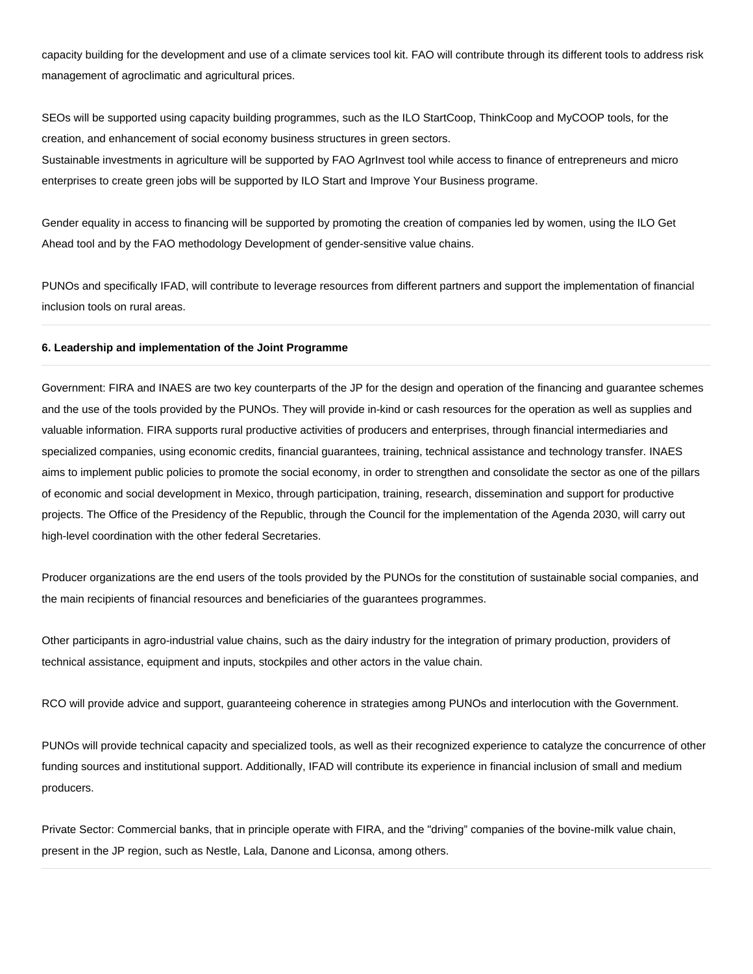capacity building for the development and use of a climate services tool kit. FAO will contribute through its different tools to address risk management of agroclimatic and agricultural prices.

SEOs will be supported using capacity building programmes, such as the ILO StartCoop, ThinkCoop and MyCOOP tools, for the creation, and enhancement of social economy business structures in green sectors.

Sustainable investments in agriculture will be supported by FAO AgrInvest tool while access to finance of entrepreneurs and micro enterprises to create green jobs will be supported by ILO Start and Improve Your Business programe.

Gender equality in access to financing will be supported by promoting the creation of companies led by women, using the ILO Get Ahead tool and by the FAO methodology Development of gender-sensitive value chains.

PUNOs and specifically IFAD, will contribute to leverage resources from different partners and support the implementation of financial inclusion tools on rural areas.

### **6. Leadership and implementation of the Joint Programme**

Government: FIRA and INAES are two key counterparts of the JP for the design and operation of the financing and guarantee schemes and the use of the tools provided by the PUNOs. They will provide in-kind or cash resources for the operation as well as supplies and valuable information. FIRA supports rural productive activities of producers and enterprises, through financial intermediaries and specialized companies, using economic credits, financial guarantees, training, technical assistance and technology transfer. INAES aims to implement public policies to promote the social economy, in order to strengthen and consolidate the sector as one of the pillars of economic and social development in Mexico, through participation, training, research, dissemination and support for productive projects. The Office of the Presidency of the Republic, through the Council for the implementation of the Agenda 2030, will carry out high-level coordination with the other federal Secretaries.

Producer organizations are the end users of the tools provided by the PUNOs for the constitution of sustainable social companies, and the main recipients of financial resources and beneficiaries of the guarantees programmes.

Other participants in agro-industrial value chains, such as the dairy industry for the integration of primary production, providers of technical assistance, equipment and inputs, stockpiles and other actors in the value chain.

RCO will provide advice and support, guaranteeing coherence in strategies among PUNOs and interlocution with the Government.

PUNOs will provide technical capacity and specialized tools, as well as their recognized experience to catalyze the concurrence of other funding sources and institutional support. Additionally, IFAD will contribute its experience in financial inclusion of small and medium producers.

Private Sector: Commercial banks, that in principle operate with FIRA, and the "driving" companies of the bovine-milk value chain, present in the JP region, such as Nestle, Lala, Danone and Liconsa, among others.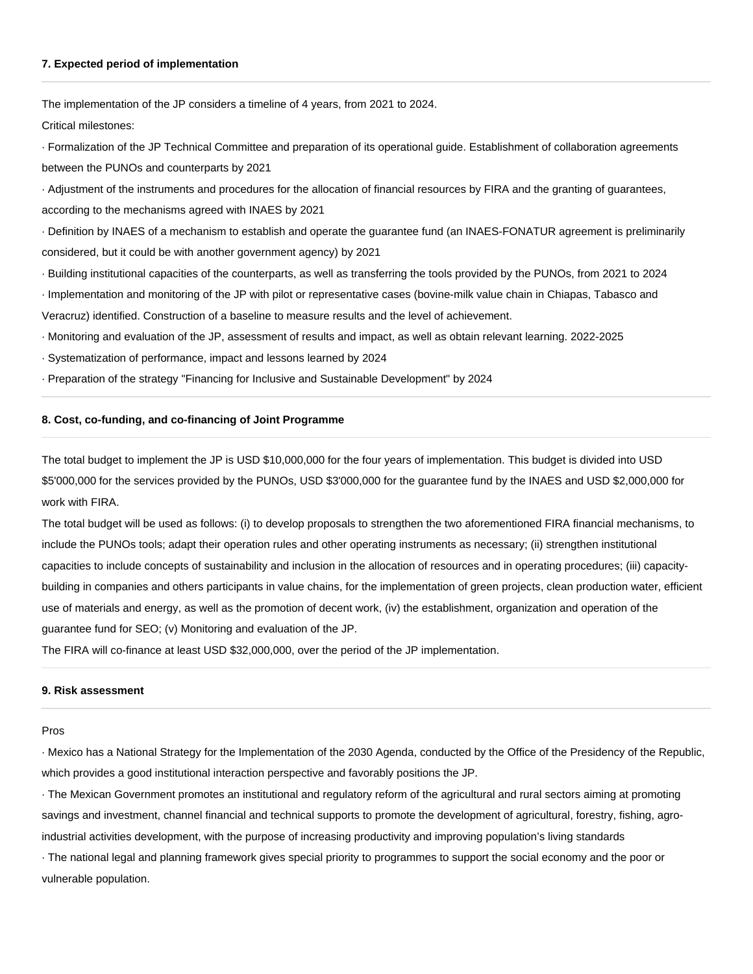### **7. Expected period of implementation**

The implementation of the JP considers a timeline of 4 years, from 2021 to 2024.

Critical milestones:

· Formalization of the JP Technical Committee and preparation of its operational guide. Establishment of collaboration agreements between the PUNOs and counterparts by 2021

· Adjustment of the instruments and procedures for the allocation of financial resources by FIRA and the granting of guarantees, according to the mechanisms agreed with INAES by 2021

· Definition by INAES of a mechanism to establish and operate the guarantee fund (an INAES-FONATUR agreement is preliminarily considered, but it could be with another government agency) by 2021

- · Building institutional capacities of the counterparts, as well as transferring the tools provided by the PUNOs, from 2021 to 2024
- · Implementation and monitoring of the JP with pilot or representative cases (bovine-milk value chain in Chiapas, Tabasco and Veracruz) identified. Construction of a baseline to measure results and the level of achievement.
- · Monitoring and evaluation of the JP, assessment of results and impact, as well as obtain relevant learning. 2022-2025
- · Systematization of performance, impact and lessons learned by 2024
- · Preparation of the strategy "Financing for Inclusive and Sustainable Development" by 2024

#### **8. Cost, co-funding, and co-financing of Joint Programme**

The total budget to implement the JP is USD \$10,000,000 for the four years of implementation. This budget is divided into USD \$5'000,000 for the services provided by the PUNOs, USD \$3'000,000 for the guarantee fund by the INAES and USD \$2,000,000 for work with FIRA.

The total budget will be used as follows: (i) to develop proposals to strengthen the two aforementioned FIRA financial mechanisms, to include the PUNOs tools; adapt their operation rules and other operating instruments as necessary; (ii) strengthen institutional capacities to include concepts of sustainability and inclusion in the allocation of resources and in operating procedures; (iii) capacitybuilding in companies and others participants in value chains, for the implementation of green projects, clean production water, efficient use of materials and energy, as well as the promotion of decent work, (iv) the establishment, organization and operation of the guarantee fund for SEO; (v) Monitoring and evaluation of the JP.

The FIRA will co-finance at least USD \$32,000,000, over the period of the JP implementation.

## **9. Risk assessment**

#### Pros

· Mexico has a National Strategy for the Implementation of the 2030 Agenda, conducted by the Office of the Presidency of the Republic, which provides a good institutional interaction perspective and favorably positions the JP.

· The Mexican Government promotes an institutional and regulatory reform of the agricultural and rural sectors aiming at promoting savings and investment, channel financial and technical supports to promote the development of agricultural, forestry, fishing, agroindustrial activities development, with the purpose of increasing productivity and improving population's living standards

· The national legal and planning framework gives special priority to programmes to support the social economy and the poor or vulnerable population.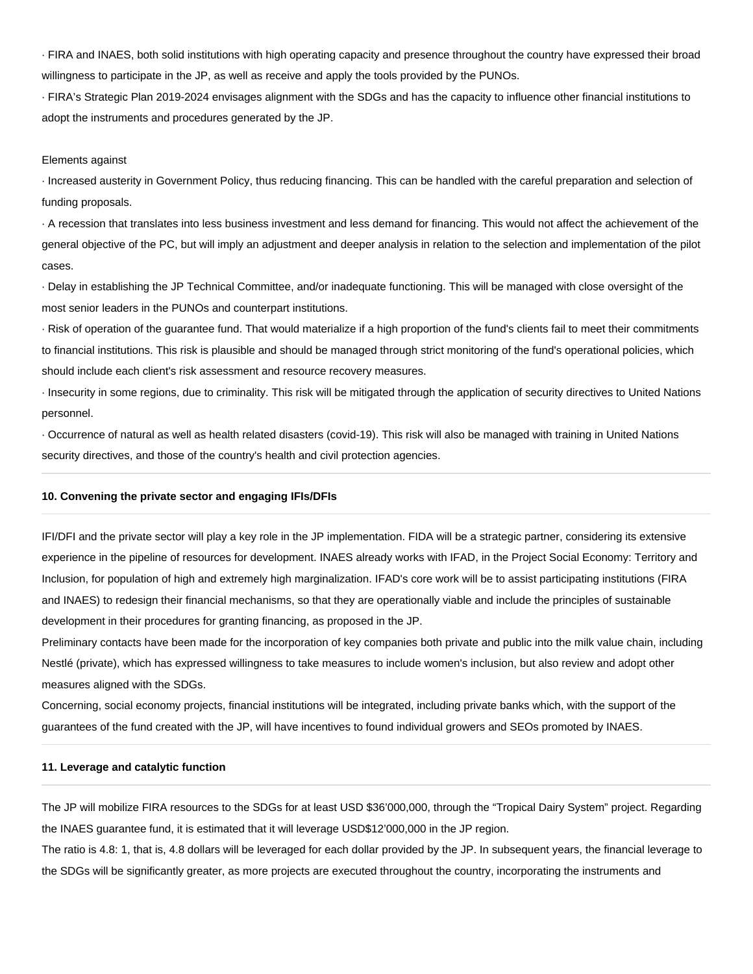· FIRA and INAES, both solid institutions with high operating capacity and presence throughout the country have expressed their broad willingness to participate in the JP, as well as receive and apply the tools provided by the PUNOs.

· FIRA's Strategic Plan 2019-2024 envisages alignment with the SDGs and has the capacity to influence other financial institutions to adopt the instruments and procedures generated by the JP.

### Elements against

· Increased austerity in Government Policy, thus reducing financing. This can be handled with the careful preparation and selection of funding proposals.

· A recession that translates into less business investment and less demand for financing. This would not affect the achievement of the general objective of the PC, but will imply an adjustment and deeper analysis in relation to the selection and implementation of the pilot cases.

· Delay in establishing the JP Technical Committee, and/or inadequate functioning. This will be managed with close oversight of the most senior leaders in the PUNOs and counterpart institutions.

· Risk of operation of the guarantee fund. That would materialize if a high proportion of the fund's clients fail to meet their commitments to financial institutions. This risk is plausible and should be managed through strict monitoring of the fund's operational policies, which should include each client's risk assessment and resource recovery measures.

· Insecurity in some regions, due to criminality. This risk will be mitigated through the application of security directives to United Nations personnel.

· Occurrence of natural as well as health related disasters (covid-19). This risk will also be managed with training in United Nations security directives, and those of the country's health and civil protection agencies.

#### **10. Convening the private sector and engaging IFIs/DFIs**

IFI/DFI and the private sector will play a key role in the JP implementation. FIDA will be a strategic partner, considering its extensive experience in the pipeline of resources for development. INAES already works with IFAD, in the Project Social Economy: Territory and Inclusion, for population of high and extremely high marginalization. IFAD's core work will be to assist participating institutions (FIRA and INAES) to redesign their financial mechanisms, so that they are operationally viable and include the principles of sustainable development in their procedures for granting financing, as proposed in the JP.

Preliminary contacts have been made for the incorporation of key companies both private and public into the milk value chain, including Nestlé (private), which has expressed willingness to take measures to include women's inclusion, but also review and adopt other measures aligned with the SDGs.

Concerning, social economy projects, financial institutions will be integrated, including private banks which, with the support of the guarantees of the fund created with the JP, will have incentives to found individual growers and SEOs promoted by INAES.

### **11. Leverage and catalytic function**

The JP will mobilize FIRA resources to the SDGs for at least USD \$36'000,000, through the "Tropical Dairy System" project. Regarding the INAES guarantee fund, it is estimated that it will leverage USD\$12'000,000 in the JP region.

The ratio is 4.8: 1, that is, 4.8 dollars will be leveraged for each dollar provided by the JP. In subsequent years, the financial leverage to the SDGs will be significantly greater, as more projects are executed throughout the country, incorporating the instruments and